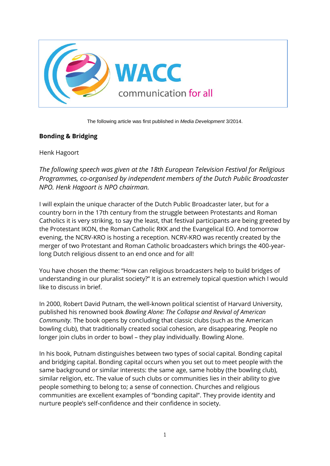

The following article was first published in *Media Development* 3/2014.

## **Bonding & Bridging**

Henk Hagoort

*The following speech was given at the 18th European Television Festival for Religious Programmes, co-organised by independent members of the Dutch Public Broadcaster NPO. Henk Hagoort is NPO chairman.*

I will explain the unique character of the Dutch Public Broadcaster later, but for a country born in the 17th century from the struggle between Protestants and Roman Catholics it is very striking, to say the least, that festival participants are being greeted by the Protestant IKON, the Roman Catholic RKK and the Evangelical EO. And tomorrow evening, the NCRV-KRO is hosting a reception. NCRV-KRO was recently created by the merger of two Protestant and Roman Catholic broadcasters which brings the 400-yearlong Dutch religious dissent to an end once and for all!

You have chosen the theme: "How can religious broadcasters help to build bridges of understanding in our pluralist society?" It is an extremely topical question which I would like to discuss in brief.

In 2000, Robert David Putnam, the well-known political scientist of Harvard University, published his renowned book *Bowling Alone: The Collapse and Revival of American Community.* The book opens by concluding that classic clubs (such as the American bowling club), that traditionally created social cohesion, are disappearing. People no longer join clubs in order to bowl – they play individually. Bowling Alone.

In his book, Putnam distinguishes between two types of social capital. Bonding capital and bridging capital. Bonding capital occurs when you set out to meet people with the same background or similar interests: the same age, same hobby (the bowling club), similar religion, etc. The value of such clubs or communities lies in their ability to give people something to belong to; a sense of connection. Churches and religious communities are excellent examples of "bonding capital". They provide identity and nurture people's self-confidence and their confidence in society.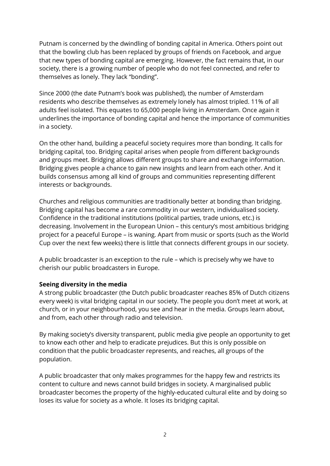Putnam is concerned by the dwindling of bonding capital in America. Others point out that the bowling club has been replaced by groups of friends on Facebook, and argue that new types of bonding capital are emerging. However, the fact remains that, in our society, there is a growing number of people who do not feel connected, and refer to themselves as lonely. They lack "bonding".

Since 2000 (the date Putnam's book was published), the number of Amsterdam residents who describe themselves as extremely lonely has almost tripled. 11% of all adults feel isolated. This equates to 65,000 people living in Amsterdam. Once again it underlines the importance of bonding capital and hence the importance of communities in a society.

On the other hand, building a peaceful society requires more than bonding. It calls for bridging capital, too. Bridging capital arises when people from different backgrounds and groups meet. Bridging allows different groups to share and exchange information. Bridging gives people a chance to gain new insights and learn from each other. And it builds consensus among all kind of groups and communities representing different interests or backgrounds.

Churches and religious communities are traditionally better at bonding than bridging. Bridging capital has become a rare commodity in our western, individualised society. Confidence in the traditional institutions (political parties, trade unions, etc.) is decreasing. Involvement in the European Union – this century's most ambitious bridging project for a peaceful Europe – is waning. Apart from music or sports (such as the World Cup over the next few weeks) there is little that connects different groups in our society.

A public broadcaster is an exception to the rule – which is precisely why we have to cherish our public broadcasters in Europe.

## **Seeing diversity in the media**

A strong public broadcaster (the Dutch public broadcaster reaches 85% of Dutch citizens every week) is vital bridging capital in our society. The people you don't meet at work, at church, or in your neighbourhood, you see and hear in the media. Groups learn about, and from, each other through radio and television.

By making society's diversity transparent, public media give people an opportunity to get to know each other and help to eradicate prejudices. But this is only possible on condition that the public broadcaster represents, and reaches, all groups of the population.

A public broadcaster that only makes programmes for the happy few and restricts its content to culture and news cannot build bridges in society. A marginalised public broadcaster becomes the property of the highly-educated cultural elite and by doing so loses its value for society as a whole. It loses its bridging capital.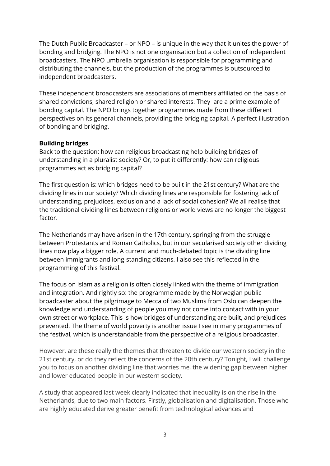The Dutch Public Broadcaster – or NPO – is unique in the way that it unites the power of bonding and bridging. The NPO is not one organisation but a collection of independent broadcasters. The NPO umbrella organisation is responsible for programming and distributing the channels, but the production of the programmes is outsourced to independent broadcasters.

These independent broadcasters are associations of members affiliated on the basis of shared convictions, shared religion or shared interests. They are a prime example of bonding capital. The NPO brings together programmes made from these different perspectives on its general channels, providing the bridging capital. A perfect illustration of bonding and bridging.

## **Building bridges**

Back to the question: how can religious broadcasting help building bridges of understanding in a pluralist society? Or, to put it differently: how can religious programmes act as bridging capital?

The first question is: which bridges need to be built in the 21st century? What are the dividing lines in our society? Which dividing lines are responsible for fostering lack of understanding, prejudices, exclusion and a lack of social cohesion? We all realise that the traditional dividing lines between religions or world views are no longer the biggest factor.

The Netherlands may have arisen in the 17th century, springing from the struggle between Protestants and Roman Catholics, but in our secularised society other dividing lines now play a bigger role. A current and much-debated topic is the dividing line between immigrants and long-standing citizens. I also see this reflected in the programming of this festival.

The focus on Islam as a religion is often closely linked with the theme of immigration and integration. And rightly so: the programme made by the Norwegian public broadcaster about the pilgrimage to Mecca of two Muslims from Oslo can deepen the knowledge and understanding of people you may not come into contact with in your own street or workplace. This is how bridges of understanding are built, and prejudices prevented. The theme of world poverty is another issue I see in many programmes of the festival, which is understandable from the perspective of a religious broadcaster.

However, are these really the themes that threaten to divide our western society in the 21st century, or do they reflect the concerns of the 20th century? Tonight, I will challenge you to focus on another dividing line that worries me, the widening gap between higher and lower educated people in our western society.

A study that appeared last week clearly indicated that inequality is on the rise in the Netherlands, due to two main factors. Firstly, globalisation and digitalisation. Those who are highly educated derive greater benefit from technological advances and